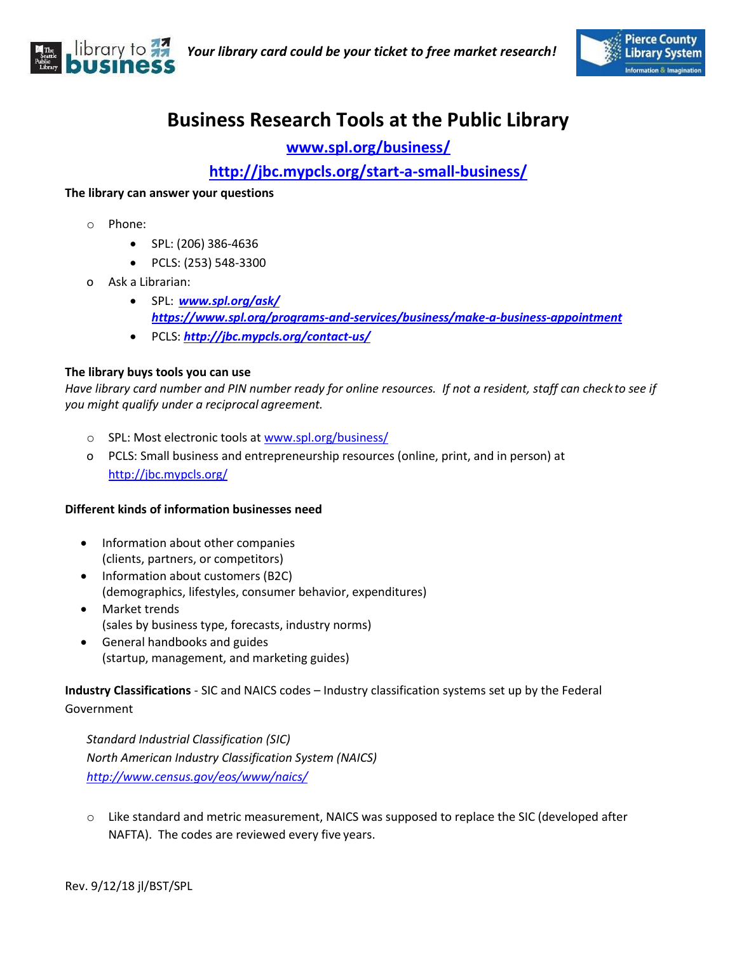



# **Business Research Tools at the Public Library**

## **[www.spl.org/business/](http://www.spl.org/business/)**

# **http://jbc.mypcls.org/start-a-small-business/**

## **The library can answer your questions**

- o Phone:
	- SPL: (206) 386-4636
	- PCLS: (253) 548-3300
- o Ask a Librarian:
	- SPL: *[www.spl.org/ask/](http://www.spl.org/ask/) <https://www.spl.org/programs-and-services/business/make-a-business-appointment>*
	- PCLS: *<http://jbc.mypcls.org/contact-us/>*

#### **The library buys tools you can use**

*Have library card number and PIN number ready for online resources. If not a resident, staff can checkto see if you might qualify under a reciprocal agreement.*

- o SPL: Most electronic tools at www.spl.org/business/
- o PCLS: Small business and entrepreneurship resources (online, print, and in person) at http://jbc.mypcls.org/

#### **Different kinds of information businesses need**

- Information about other companies (clients, partners, or competitors)
- Information about customers (B2C) (demographics, lifestyles, consumer behavior, expenditures)
- Market trends (sales by business type, forecasts, industry norms)
- General handbooks and guides (startup, management, and marketing guides)

**Industry Classifications** - SIC and NAICS codes – Industry classification systems set up by the Federal Government

*Standard Industrial Classification (SIC) North American Industry Classification System (NAICS) <http://www.census.gov/eos/www/naics/>*

o Like standard and metric measurement, NAICS was supposed to replace the SIC (developed after NAFTA). The codes are reviewed every five years.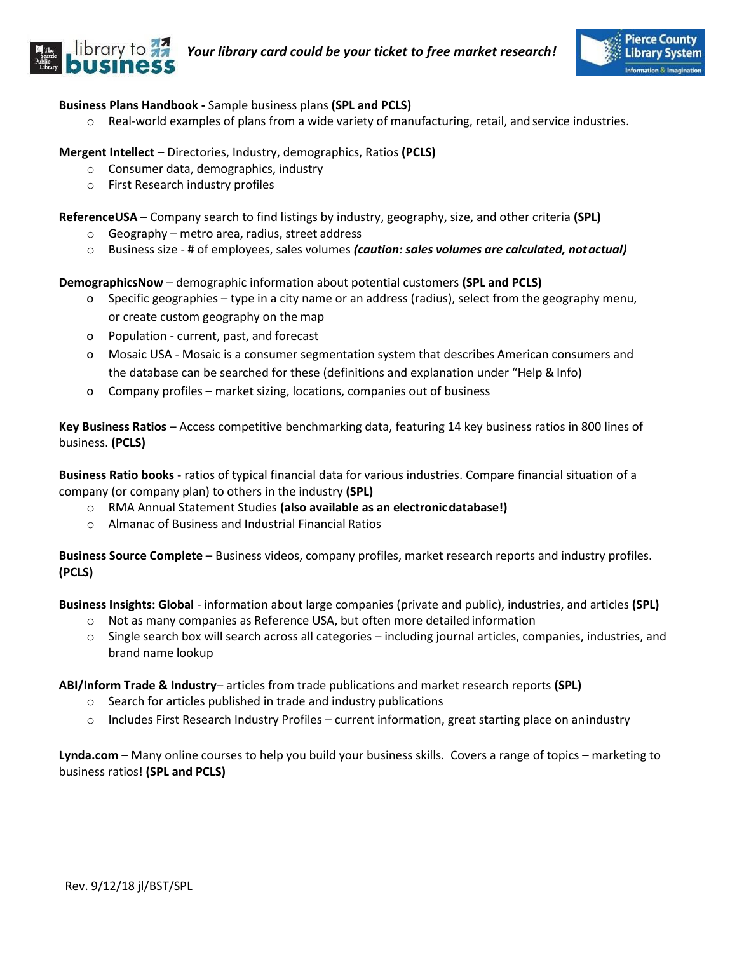



## **Business Plans Handbook -** Sample business plans **(SPL and PCLS)**

 $\circ$  Real-world examples of plans from a wide variety of manufacturing, retail, and service industries.

**Mergent Intellect** – Directories, Industry, demographics, Ratios **(PCLS)**

- o Consumer data, demographics, industry
- o First Research industry profiles

**ReferenceUSA** – Company search to find listings by industry, geography, size, and other criteria **(SPL)**

- $\circ$  Geography metro area, radius, street address
- o Business size # of employees, sales volumes *(caution: sales volumes are calculated, notactual)*

**DemographicsNow** – demographic information about potential customers **(SPL and PCLS)**

- o Specific geographies type in a city name or an address (radius), select from the geography menu, or create custom geography on the map
- o Population current, past, and forecast
- o Mosaic USA Mosaic is a consumer segmentation system that describes American consumers and the database can be searched for these (definitions and explanation under "Help & Info)
- o Company profiles market sizing, locations, companies out of business

**Key Business Ratios** – Access competitive benchmarking data, featuring 14 key business ratios in 800 lines of business. **(PCLS)**

**Business Ratio books** - ratios of typical financial data for various industries. Compare financial situation of a company (or company plan) to others in the industry **(SPL)**

- o RMA Annual Statement Studies **(also available as an electronicdatabase!)**
- o Almanac of Business and Industrial Financial Ratios

**Business Source Complete** – Business videos, company profiles, market research reports and industry profiles. **(PCLS)**

**Business Insights: Global** - information about large companies (private and public), industries, and articles **(SPL)**

- o Not as many companies as Reference USA, but often more detailed information
- o Single search box will search across all categories including journal articles, companies, industries, and brand name lookup

**ABI/Inform Trade & Industry**– articles from trade publications and market research reports **(SPL)**

- o Search for articles published in trade and industry publications
- $\circ$  Includes First Research Industry Profiles current information, great starting place on anindustry

**Lynda.com** – Many online courses to help you build your business skills. Covers a range of topics – marketing to business ratios! **(SPL and PCLS)**